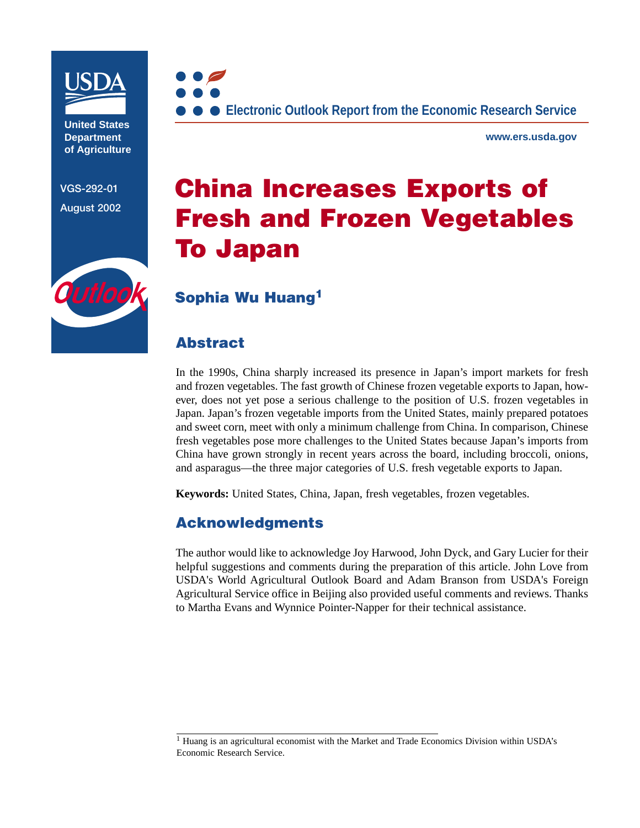

**United States Department of Agriculture**

**VGS-292-01 August 2002**



**www.ers.usda.gov**

# **China Increases Exports of Fresh and Frozen Vegetables To Japan**

# Outlook

# **Sophia Wu Huang<sup>1</sup>**

## **Abstract**

In the 1990s, China sharply increased its presence in Japan's import markets for fresh and frozen vegetables. The fast growth of Chinese frozen vegetable exports to Japan, however, does not yet pose a serious challenge to the position of U.S. frozen vegetables in Japan. Japan's frozen vegetable imports from the United States, mainly prepared potatoes and sweet corn, meet with only a minimum challenge from China. In comparison, Chinese fresh vegetables pose more challenges to the United States because Japan's imports from China have grown strongly in recent years across the board, including broccoli, onions, and asparagus—the three major categories of U.S. fresh vegetable exports to Japan.

**Keywords:** United States, China, Japan, fresh vegetables, frozen vegetables.

### **Acknowledgments**

The author would like to acknowledge Joy Harwood, John Dyck, and Gary Lucier for their helpful suggestions and comments during the preparation of this article. John Love from USDA's World Agricultural Outlook Board and Adam Branson from USDA's Foreign Agricultural Service office in Beijing also provided useful comments and reviews. Thanks to Martha Evans and Wynnice Pointer-Napper for their technical assistance.

 $<sup>1</sup>$  Huang is an agricultural economist with the Market and Trade Economics Division within USDA's</sup> Economic Research Service.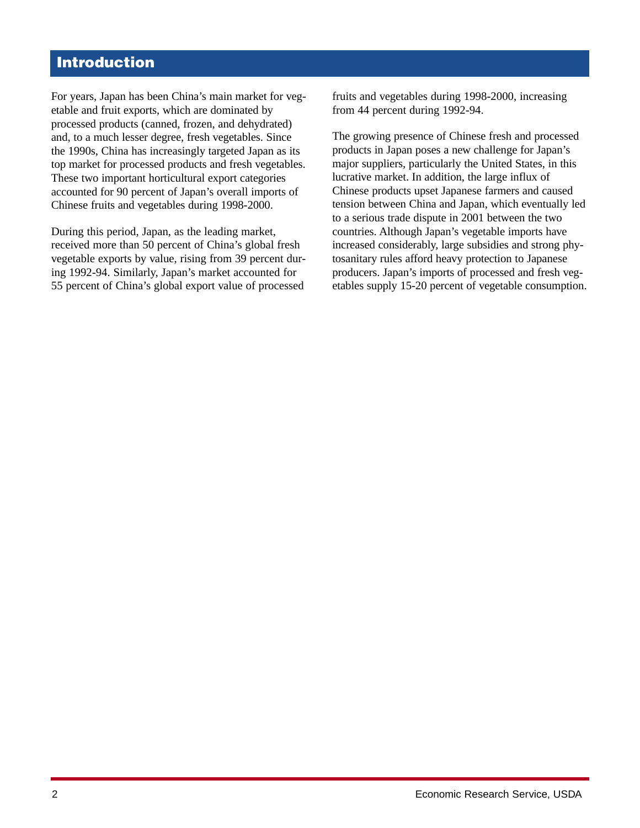# **Introduction**

For years, Japan has been China's main market for vegetable and fruit exports, which are dominated by processed products (canned, frozen, and dehydrated) and, to a much lesser degree, fresh vegetables. Since the 1990s, China has increasingly targeted Japan as its top market for processed products and fresh vegetables. These two important horticultural export categories accounted for 90 percent of Japan's overall imports of Chinese fruits and vegetables during 1998-2000.

During this period, Japan, as the leading market, received more than 50 percent of China's global fresh vegetable exports by value, rising from 39 percent during 1992-94. Similarly, Japan's market accounted for 55 percent of China's global export value of processed

fruits and vegetables during 1998-2000, increasing from 44 percent during 1992-94.

The growing presence of Chinese fresh and processed products in Japan poses a new challenge for Japan's major suppliers, particularly the United States, in this lucrative market. In addition, the large influx of Chinese products upset Japanese farmers and caused tension between China and Japan, which eventually led to a serious trade dispute in 2001 between the two countries. Although Japan's vegetable imports have increased considerably, large subsidies and strong phytosanitary rules afford heavy protection to Japanese producers. Japan's imports of processed and fresh vegetables supply 15-20 percent of vegetable consumption.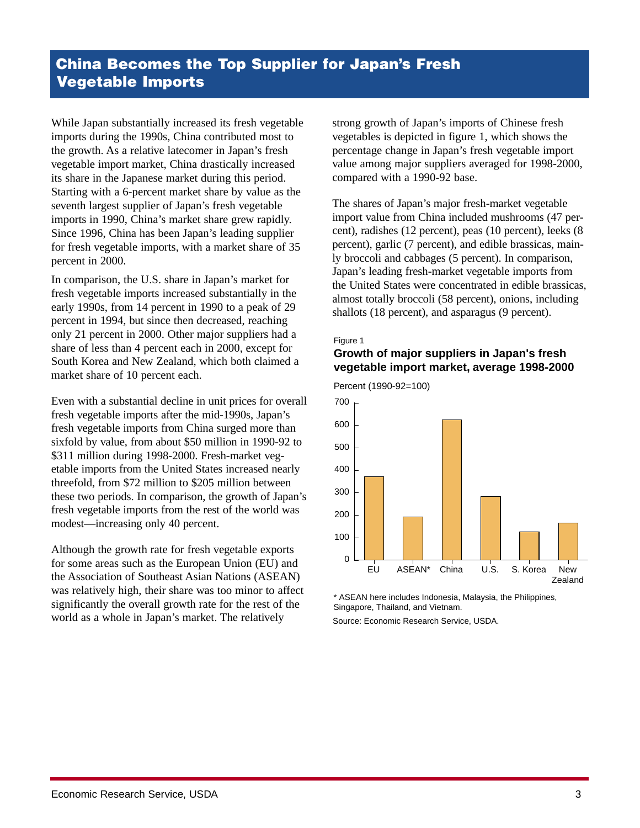While Japan substantially increased its fresh vegetable imports during the 1990s, China contributed most to the growth. As a relative latecomer in Japan's fresh vegetable import market, China drastically increased its share in the Japanese market during this period. Starting with a 6-percent market share by value as the seventh largest supplier of Japan's fresh vegetable imports in 1990, China's market share grew rapidly. Since 1996, China has been Japan's leading supplier for fresh vegetable imports, with a market share of 35 percent in 2000.

In comparison, the U.S. share in Japan's market for fresh vegetable imports increased substantially in the early 1990s, from 14 percent in 1990 to a peak of 29 percent in 1994, but since then decreased, reaching only 21 percent in 2000. Other major suppliers had a share of less than 4 percent each in 2000, except for South Korea and New Zealand, which both claimed a market share of 10 percent each.

Even with a substantial decline in unit prices for overall fresh vegetable imports after the mid-1990s, Japan's fresh vegetable imports from China surged more than sixfold by value, from about \$50 million in 1990-92 to \$311 million during 1998-2000. Fresh-market vegetable imports from the United States increased nearly threefold, from \$72 million to \$205 million between these two periods. In comparison, the growth of Japan's fresh vegetable imports from the rest of the world was modest—increasing only 40 percent.

Although the growth rate for fresh vegetable exports for some areas such as the European Union (EU) and the Association of Southeast Asian Nations (ASEAN) was relatively high, their share was too minor to affect significantly the overall growth rate for the rest of the world as a whole in Japan's market. The relatively

strong growth of Japan's imports of Chinese fresh vegetables is depicted in figure 1, which shows the percentage change in Japan's fresh vegetable import value among major suppliers averaged for 1998-2000, compared with a 1990-92 base.

The shares of Japan's major fresh-market vegetable import value from China included mushrooms (47 percent), radishes (12 percent), peas (10 percent), leeks (8 percent), garlic (7 percent), and edible brassicas, mainly broccoli and cabbages (5 percent). In comparison, Japan's leading fresh-market vegetable imports from the United States were concentrated in edible brassicas, almost totally broccoli (58 percent), onions, including shallots (18 percent), and asparagus (9 percent).

#### Figure 1

#### **Growth of major suppliers in Japan's fresh vegetable import market, average 1998-2000**



\* ASEAN here includes Indonesia, Malaysia, the Philippines, Singapore, Thailand, and Vietnam.

Source: Economic Research Service, USDA.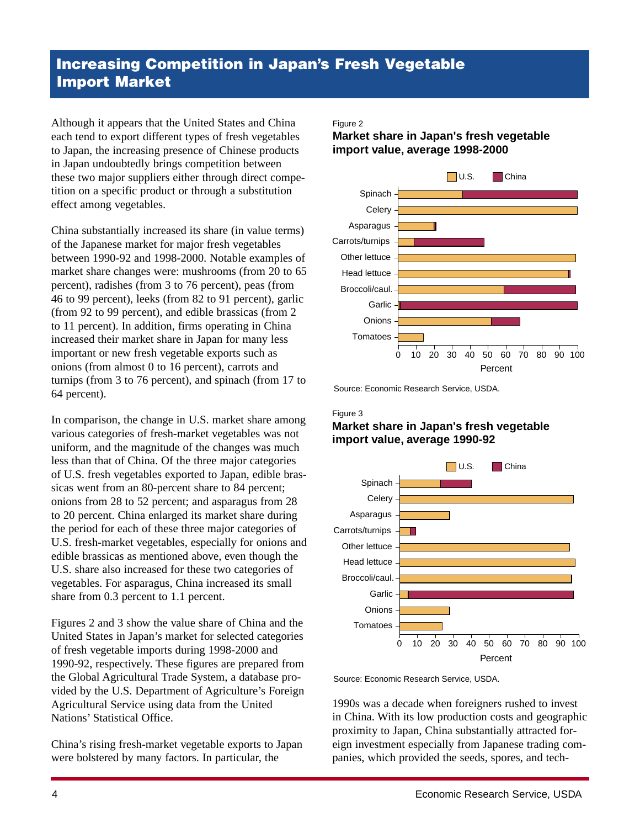# **Increasing Competition in Japan's Fresh Vegetable Import Market**

Although it appears that the United States and China each tend to export different types of fresh vegetables to Japan, the increasing presence of Chinese products in Japan undoubtedly brings competition between these two major suppliers either through direct competition on a specific product or through a substitution effect among vegetables.

China substantially increased its share (in value terms) of the Japanese market for major fresh vegetables between 1990-92 and 1998-2000. Notable examples of market share changes were: mushrooms (from 20 to 65 percent), radishes (from 3 to 76 percent), peas (from 46 to 99 percent), leeks (from 82 to 91 percent), garlic (from 92 to 99 percent), and edible brassicas (from 2 to 11 percent). In addition, firms operating in China increased their market share in Japan for many less important or new fresh vegetable exports such as onions (from almost 0 to 16 percent), carrots and turnips (from 3 to 76 percent), and spinach (from 17 to 64 percent).

In comparison, the change in U.S. market share among various categories of fresh-market vegetables was not uniform, and the magnitude of the changes was much less than that of China. Of the three major categories of U.S. fresh vegetables exported to Japan, edible brassicas went from an 80-percent share to 84 percent; onions from 28 to 52 percent; and asparagus from 28 to 20 percent. China enlarged its market share during the period for each of these three major categories of U.S. fresh-market vegetables, especially for onions and edible brassicas as mentioned above, even though the U.S. share also increased for these two categories of vegetables. For asparagus, China increased its small share from 0.3 percent to 1.1 percent.

Figures 2 and 3 show the value share of China and the United States in Japan's market for selected categories of fresh vegetable imports during 1998-2000 and 1990-92, respectively. These figures are prepared from the Global Agricultural Trade System, a database provided by the U.S. Department of Agriculture's Foreign Agricultural Service using data from the United Nations' Statistical Office.

China's rising fresh-market vegetable exports to Japan were bolstered by many factors. In particular, the

#### Figure 2

#### **Market share in Japan's fresh vegetable import value, average 1998-2000**



Source: Economic Research Service, USDA.

#### Figure 3

#### **Market share in Japan's fresh vegetable import value, average 1990-92**



Source: Economic Research Service, USDA.

1990s was a decade when foreigners rushed to invest in China. With its low production costs and geographic proximity to Japan, China substantially attracted foreign investment especially from Japanese trading companies, which provided the seeds, spores, and tech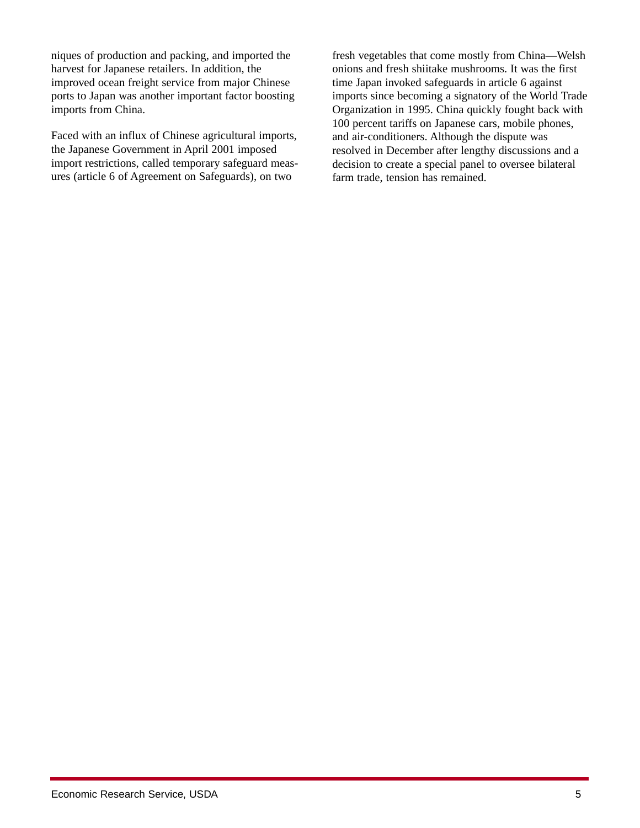niques of production and packing, and imported the harvest for Japanese retailers. In addition, the improved ocean freight service from major Chinese ports to Japan was another important factor boosting imports from China.

Faced with an influx of Chinese agricultural imports, the Japanese Government in April 2001 imposed import restrictions, called temporary safeguard measures (article 6 of Agreement on Safeguards), on two

fresh vegetables that come mostly from China—Welsh onions and fresh shiitake mushrooms. It was the first time Japan invoked safeguards in article 6 against imports since becoming a signatory of the World Trade Organization in 1995. China quickly fought back with 100 percent tariffs on Japanese cars, mobile phones, and air-conditioners. Although the dispute was resolved in December after lengthy discussions and a decision to create a special panel to oversee bilateral farm trade, tension has remained.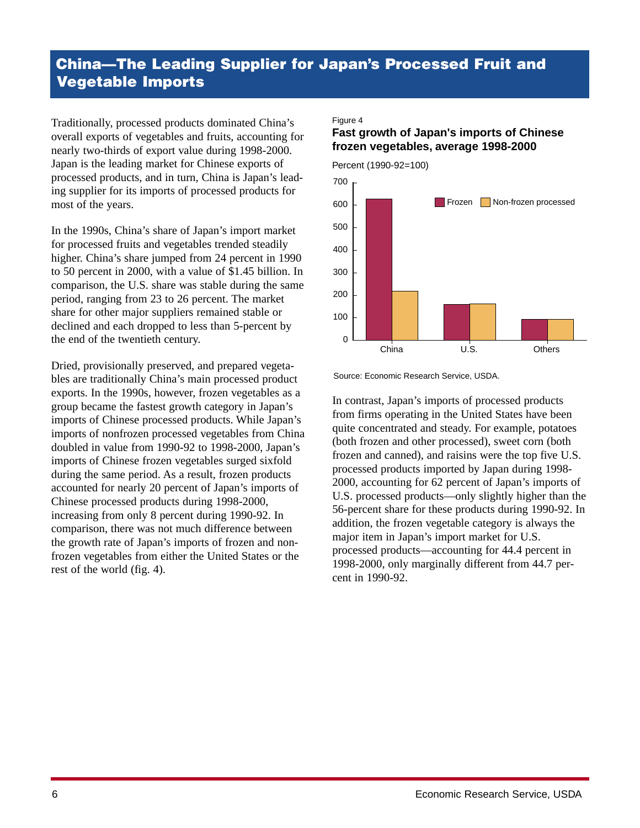# **China—The Leading Supplier for Japan's Processed Fruit and Vegetable Imports**

Traditionally, processed products dominated China's overall exports of vegetables and fruits, accounting for nearly two-thirds of export value during 1998-2000. Japan is the leading market for Chinese exports of processed products, and in turn, China is Japan's leading supplier for its imports of processed products for most of the years.

In the 1990s, China's share of Japan's import market for processed fruits and vegetables trended steadily higher. China's share jumped from 24 percent in 1990 to 50 percent in 2000, with a value of \$1.45 billion. In comparison, the U.S. share was stable during the same period, ranging from 23 to 26 percent. The market share for other major suppliers remained stable or declined and each dropped to less than 5-percent by the end of the twentieth century.

Dried, provisionally preserved, and prepared vegetables are traditionally China's main processed product exports. In the 1990s, however, frozen vegetables as a group became the fastest growth category in Japan's imports of Chinese processed products. While Japan's imports of nonfrozen processed vegetables from China doubled in value from 1990-92 to 1998-2000, Japan's imports of Chinese frozen vegetables surged sixfold during the same period. As a result, frozen products accounted for nearly 20 percent of Japan's imports of Chinese processed products during 1998-2000, increasing from only 8 percent during 1990-92. In comparison, there was not much difference between the growth rate of Japan's imports of frozen and nonfrozen vegetables from either the United States or the rest of the world (fig. 4).

#### Figure 4

#### **Fast growth of Japan's imports of Chinese frozen vegetables, average 1998-2000**



Source: Economic Research Service, USDA.

In contrast, Japan's imports of processed products from firms operating in the United States have been quite concentrated and steady. For example, potatoes (both frozen and other processed), sweet corn (both frozen and canned), and raisins were the top five U.S. processed products imported by Japan during 1998- 2000, accounting for 62 percent of Japan's imports of U.S. processed products—only slightly higher than the 56-percent share for these products during 1990-92. In addition, the frozen vegetable category is always the major item in Japan's import market for U.S. processed products—accounting for 44.4 percent in 1998-2000, only marginally different from 44.7 percent in 1990-92.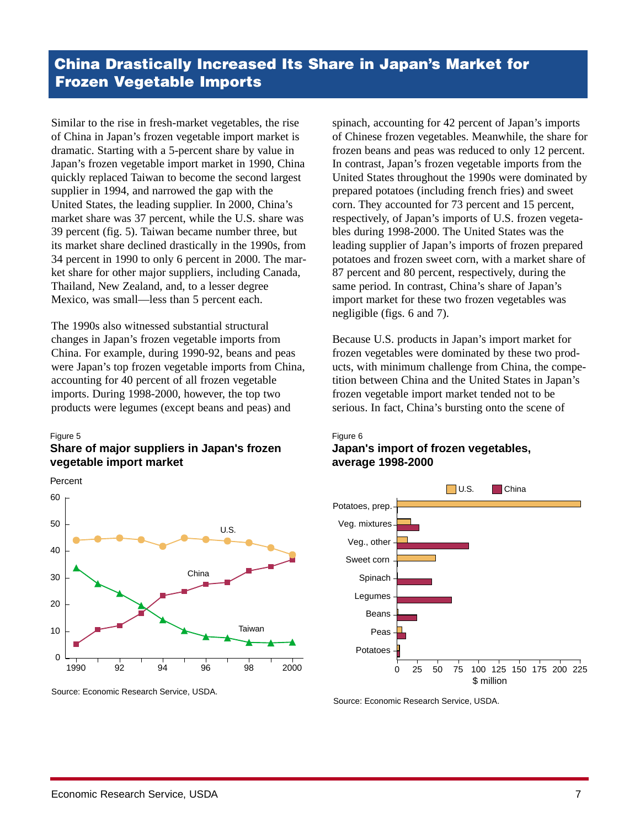Similar to the rise in fresh-market vegetables, the rise of China in Japan's frozen vegetable import market is dramatic. Starting with a 5-percent share by value in Japan's frozen vegetable import market in 1990, China quickly replaced Taiwan to become the second largest supplier in 1994, and narrowed the gap with the United States, the leading supplier. In 2000, China's market share was 37 percent, while the U.S. share was 39 percent (fig. 5). Taiwan became number three, but its market share declined drastically in the 1990s, from 34 percent in 1990 to only 6 percent in 2000. The market share for other major suppliers, including Canada, Thailand, New Zealand, and, to a lesser degree Mexico, was small—less than 5 percent each.

The 1990s also witnessed substantial structural changes in Japan's frozen vegetable imports from China. For example, during 1990-92, beans and peas were Japan's top frozen vegetable imports from China, accounting for 40 percent of all frozen vegetable imports. During 1998-2000, however, the top two products were legumes (except beans and peas) and

#### Figure 5

#### **Share of major suppliers in Japan's frozen vegetable import market**



Source: Economic Research Service, USDA.

spinach, accounting for 42 percent of Japan's imports of Chinese frozen vegetables. Meanwhile, the share for frozen beans and peas was reduced to only 12 percent. In contrast, Japan's frozen vegetable imports from the United States throughout the 1990s were dominated by prepared potatoes (including french fries) and sweet corn. They accounted for 73 percent and 15 percent, respectively, of Japan's imports of U.S. frozen vegetables during 1998-2000. The United States was the leading supplier of Japan's imports of frozen prepared potatoes and frozen sweet corn, with a market share of 87 percent and 80 percent, respectively, during the same period. In contrast, China's share of Japan's import market for these two frozen vegetables was negligible (figs. 6 and 7).

Because U.S. products in Japan's import market for frozen vegetables were dominated by these two products, with minimum challenge from China, the competition between China and the United States in Japan's frozen vegetable import market tended not to be serious. In fact, China's bursting onto the scene of



#### **Japan's import of frozen vegetables, average 1998-2000**



Source: Economic Research Service, USDA.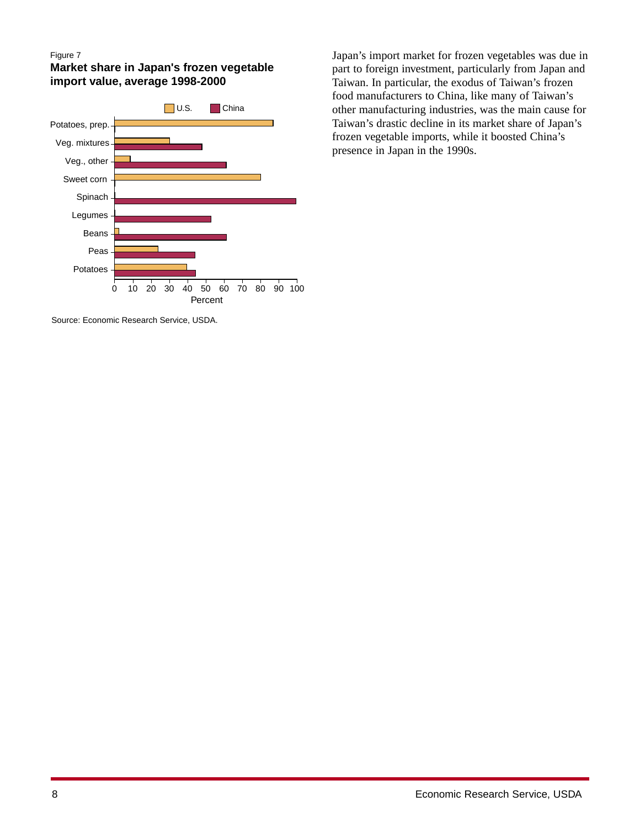#### Figure 7

**Market share in Japan's frozen vegetable import value, average 1998-2000**



Source: Economic Research Service, USDA.

Japan's import market for frozen vegetables was due in part to foreign investment, particularly from Japan and Taiwan. In particular, the exodus of Taiwan's frozen food manufacturers to China, like many of Taiwan's other manufacturing industries, was the main cause for Taiwan's drastic decline in its market share of Japan's frozen vegetable imports, while it boosted China's presence in Japan in the 1990s.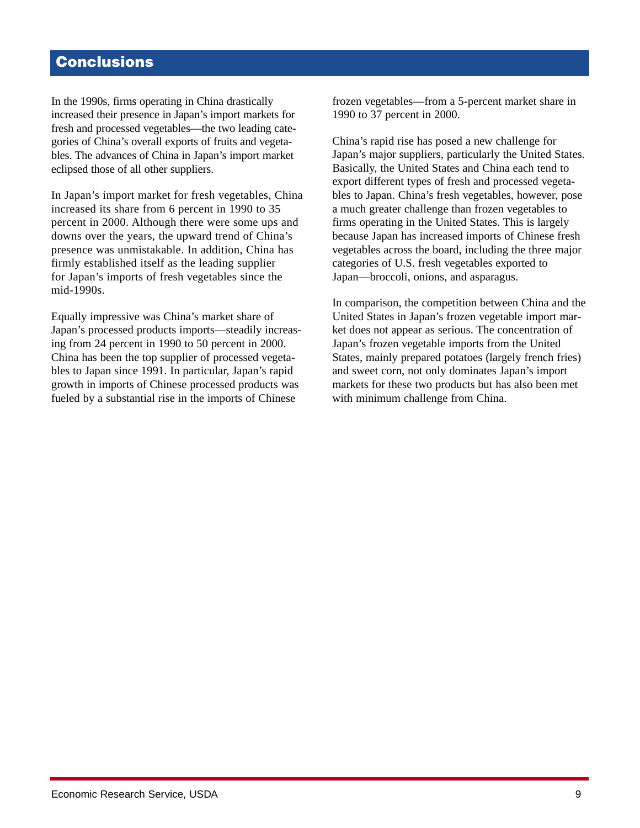# **Conclusions**

In the 1990s, firms operating in China drastically increased their presence in Japan's import markets for fresh and processed vegetables—the two leading categories of China's overall exports of fruits and vegetables. The advances of China in Japan's import market eclipsed those of all other suppliers.

In Japan's import market for fresh vegetables, China increased its share from 6 percent in 1990 to 35 percent in 2000. Although there were some ups and downs over the years, the upward trend of China's presence was unmistakable. In addition, China has firmly established itself as the leading supplier for Japan's imports of fresh vegetables since the mid-1990s.

Equally impressive was China's market share of Japan's processed products imports—steadily increasing from 24 percent in 1990 to 50 percent in 2000. China has been the top supplier of processed vegetables to Japan since 1991. In particular, Japan's rapid growth in imports of Chinese processed products was fueled by a substantial rise in the imports of Chinese

frozen vegetables—from a 5-percent market share in 1990 to 37 percent in 2000.

China's rapid rise has posed a new challenge for Japan's major suppliers, particularly the United States. Basically, the United States and China each tend to export different types of fresh and processed vegetables to Japan. China's fresh vegetables, however, pose a much greater challenge than frozen vegetables to firms operating in the United States. This is largely because Japan has increased imports of Chinese fresh vegetables across the board, including the three major categories of U.S. fresh vegetables exported to Japan—broccoli, onions, and asparagus.

In comparison, the competition between China and the United States in Japan's frozen vegetable import market does not appear as serious. The concentration of Japan's frozen vegetable imports from the United States, mainly prepared potatoes (largely french fries) and sweet corn, not only dominates Japan's import markets for these two products but has also been met with minimum challenge from China.